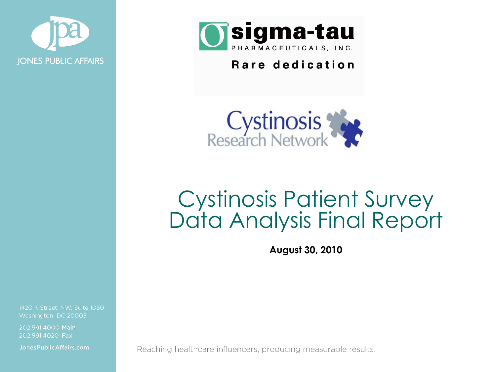



#### Rare dedication



# Cystinosis Patient Survey Data Analysis Final Report

**August 30, 2010**

1420 K Street, NW, Suite 1050 Washington, DC 20005

202.591.4000 Main 202.591.4020 Fax

Jones Public Affairs.com

Reaching healthcare influencers, producing measurable results.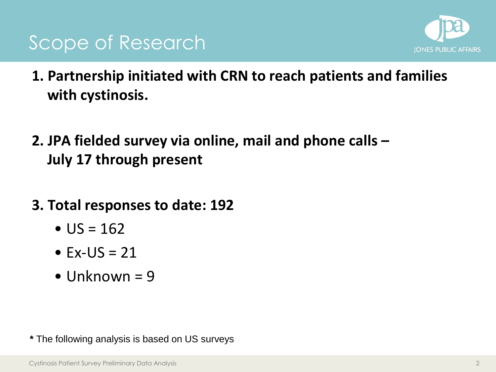



- **1. Partnership initiated with CRN to reach patients and families with cystinosis.**
- **2. JPA fielded survey via online, mail and phone calls – July 17 through present**
- **3. Total responses to date: 192**
	- $US = 162$
	- $\bullet$  Ex-US = 21
	- Unknown  $= 9$

**\*** The following analysis is based on US surveys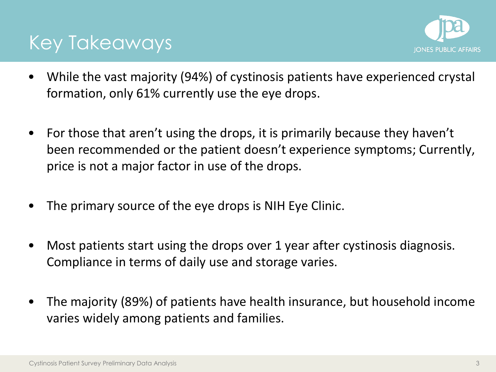

#### Key Takeaways

- While the vast majority (94%) of cystinosis patients have experienced crystal formation, only 61% currently use the eye drops.
- For those that aren't using the drops, it is primarily because they haven't been recommended or the patient doesn't experience symptoms; Currently, price is not a major factor in use of the drops.
- The primary source of the eye drops is NIH Eye Clinic.
- Most patients start using the drops over 1 year after cystinosis diagnosis. Compliance in terms of daily use and storage varies.
- The majority (89%) of patients have health insurance, but household income varies widely among patients and families.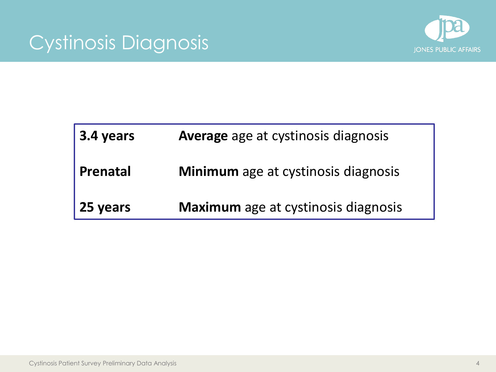## Cystinosis Diagnosis



| $\vert$ 3.4 years | Average age at cystinosis diagnosis        |
|-------------------|--------------------------------------------|
| <b>Prenatal</b>   | <b>Minimum</b> age at cystinosis diagnosis |
| 25 years          | <b>Maximum</b> age at cystinosis diagnosis |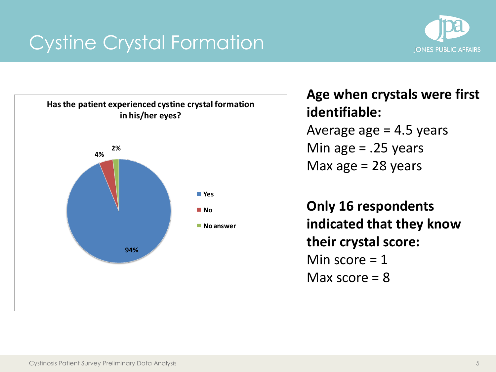



**Age when crystals were first identifiable:** Average age  $= 4.5$  years Min age  $= .25$  years Max age  $= 28$  years

**Only 16 respondents indicated that they know their crystal score:**  Min score  $= 1$ Max score  $= 8$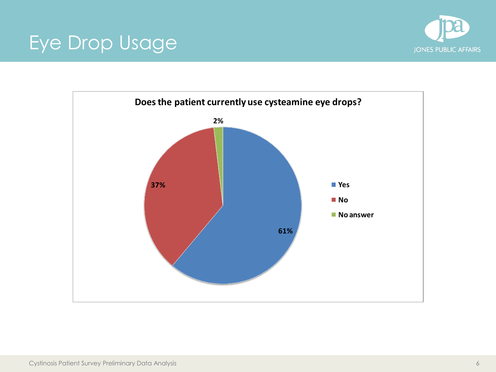# Eye Drop Usage



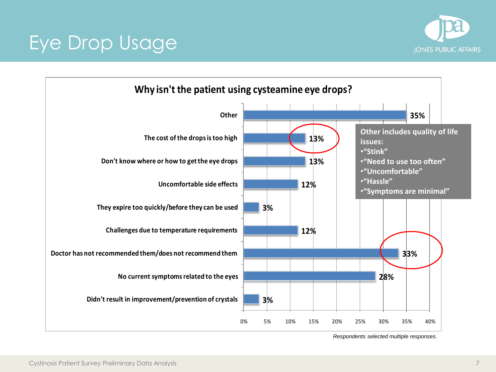

# Eye Drop Usage

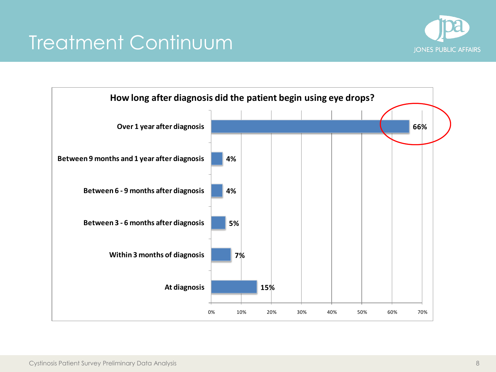# Treatment Continuum



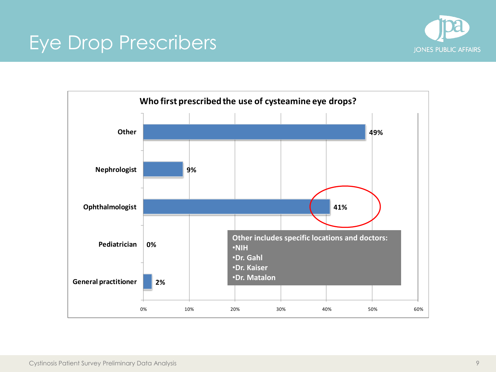#### Eye Drop Prescribers



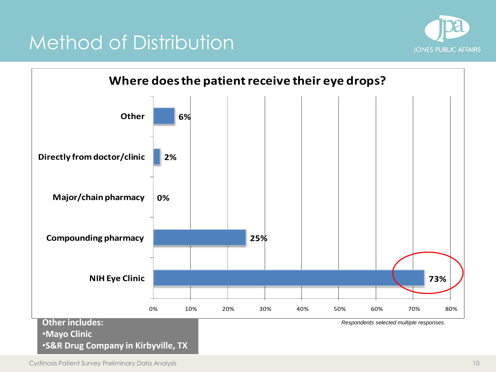

#### Method of Distribution

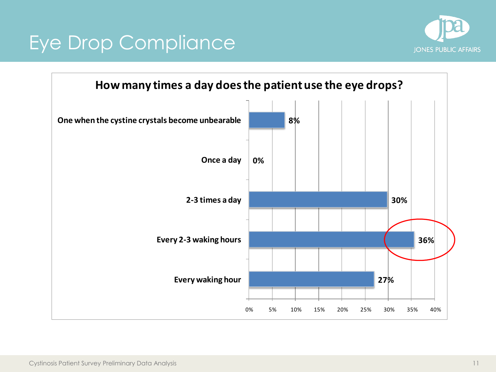# Eye Drop Compliance



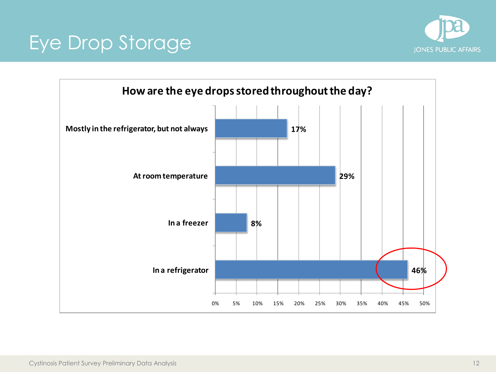

## Eye Drop Storage

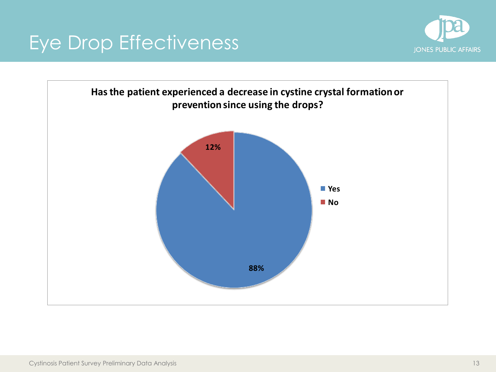# Eye Drop Effectiveness



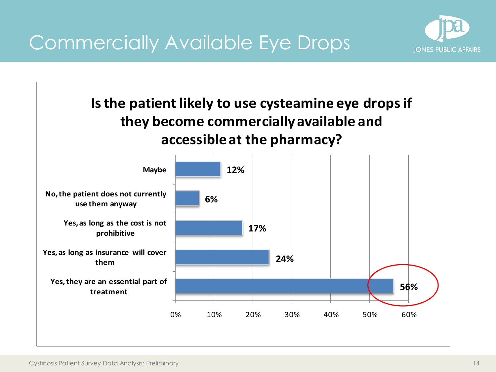Commercially Available Eye Drops



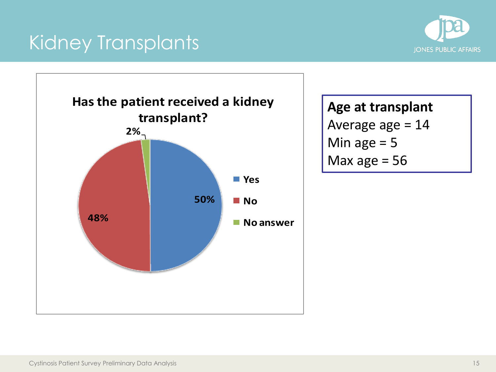# Kidney Transplants





**Age at transplant** Average age = 14 Min age  $= 5$ Max age  $= 56$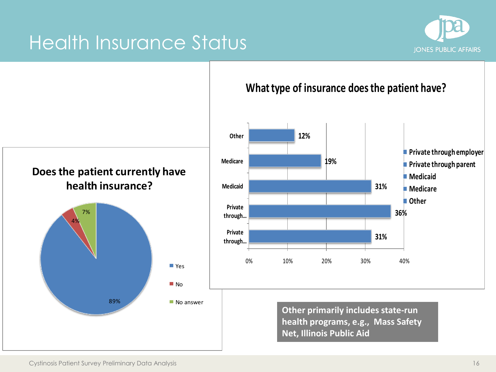#### Health Insurance Status



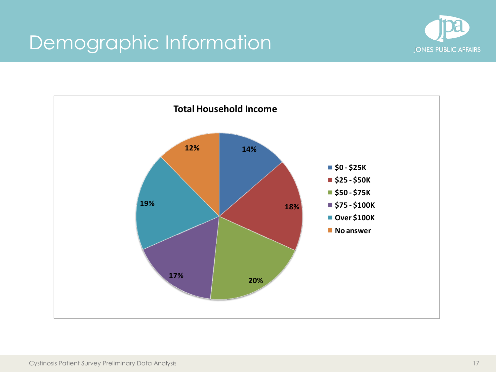## Demographic Information



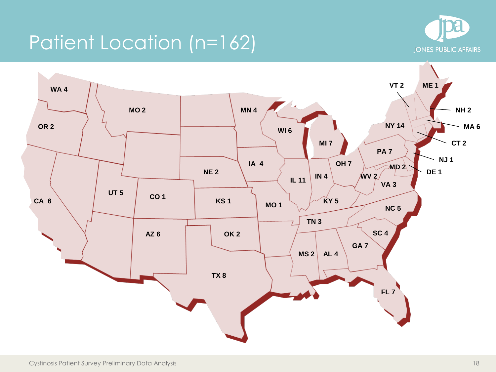## Patient Location (n=162)



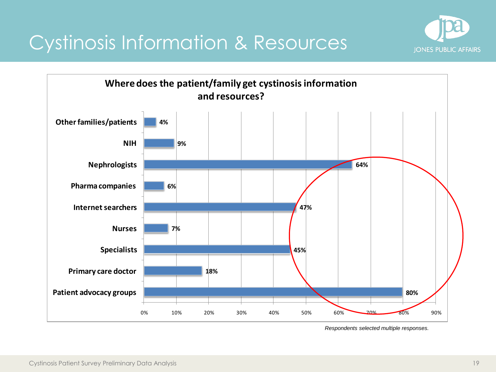#### Cystinosis Information & Resources



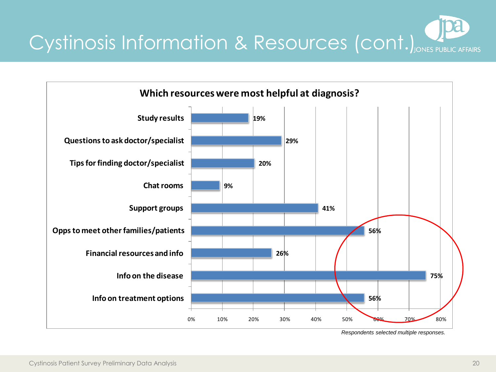

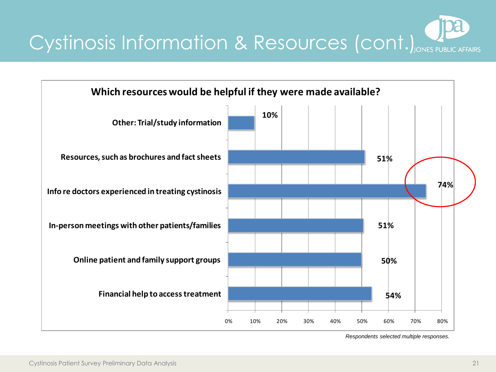